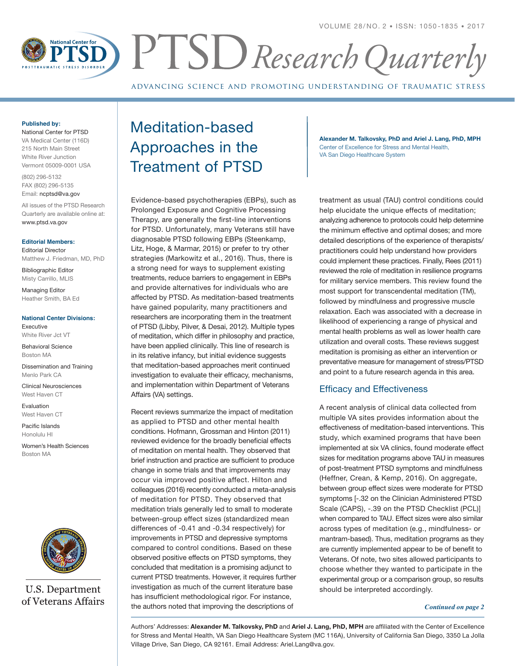

advancing science and promoting understanding of traumatic stress

#### **Published by:**

National Center for PTSD VA Medical Center (116D) 215 North Main Street White River Junction Vermont 05009-0001 USA

(802) 296-5132 FAX (802) 296-5135 Email: ncptsd@va.gov

All issues of the PTSD Research Quarterly are available online at: www.ptsd.va.gov

#### **Editorial Members:**

Editorial Director Matthew J. Friedman, MD, PhD

Bibliographic Editor Misty Carrillo, MLIS

Managing Editor Heather Smith, BA Ed

#### **National Center Divisions:**

Executive White River Jct VT

Behavioral Science Boston MA

Dissemination and Training Menlo Park CA

Clinical Neurosciences West Haven CT

Evaluation West Haven CT

Pacific Islands Honolulu HI

Women's Health Sciences Boston MA



**U.S. Department** of Veterans Affairs

# Meditation-based Approaches in the Treatment of PTSD

Evidence-based psychotherapies (EBPs), such as Prolonged Exposure and Cognitive Processing Therapy, are generally the first-line interventions for PTSD. Unfortunately, many Veterans still have diagnosable PTSD following EBPs (Steenkamp, Litz, Hoge, & Marmar, 2015) or prefer to try other strategies (Markowitz et al., 2016). Thus, there is a strong need for ways to supplement existing treatments, reduce barriers to engagement in EBPs and provide alternatives for individuals who are affected by PTSD. As meditation-based treatments have gained popularity, many practitioners and researchers are incorporating them in the treatment of PTSD (Libby, Pilver, & Desai, 2012). Multiple types of meditation, which differ in philosophy and practice, have been applied clinically. This line of research is in its relative infancy, but initial evidence suggests that meditation-based approaches merit continued investigation to evaluate their efficacy, mechanisms, and implementation within Department of Veterans Affairs (VA) settings.

Recent reviews summarize the impact of meditation as applied to PTSD and other mental health conditions. Hofmann, Grossman and Hinton (2011) reviewed evidence for the broadly beneficial effects of meditation on mental health. They observed that brief instruction and practice are sufficient to produce change in some trials and that improvements may occur via improved positive affect. Hilton and colleagues (2016) recently conducted a meta-analysis of meditation for PTSD. They observed that meditation trials generally led to small to moderate between-group effect sizes (standardized mean differences of -0.41 and -0.34 respectively) for improvements in PTSD and depressive symptoms compared to control conditions. Based on these observed positive effects on PTSD symptoms, they concluded that meditation is a promising adjunct to current PTSD treatments. However, it requires further investigation as much of the current literature base has insufficient methodological rigor. For instance, the authors noted that improving the descriptions of

**Alexander M. Talkovsky, PhD and Ariel J. Lang, PhD, MPH**  Center of Excellence for Stress and Mental Health, VA San Diego Healthcare System

treatment as usual (TAU) control conditions could help elucidate the unique effects of meditation; analyzing adherence to protocols could help determine the minimum effective and optimal doses; and more detailed descriptions of the experience of therapists/ practitioners could help understand how providers could implement these practices. Finally, Rees (2011) reviewed the role of meditation in resilience programs for military service members. This review found the most support for transcendental meditation (TM), followed by mindfulness and progressive muscle relaxation. Each was associated with a decrease in likelihood of experiencing a range of physical and mental health problems as well as lower health care utilization and overall costs. These reviews suggest meditation is promising as either an intervention or preventative measure for management of stress/PTSD and point to a future research agenda in this area.

#### Efficacy and Effectiveness

A recent analysis of clinical data collected from multiple VA sites provides information about the effectiveness of meditation-based interventions. This study, which examined programs that have been implemented at six VA clinics, found moderate effect sizes for meditation programs above TAU in measures of post-treatment PTSD symptoms and mindfulness (Heffner, Crean, & Kemp, 2016). On aggregate, between group effect sizes were moderate for PTSD symptoms [-.32 on the Clinician Administered PTSD Scale (CAPS), -.39 on the PTSD Checklist (PCL)] when compared to TAU. Effect sizes were also similar across types of meditation (e.g., mindfulness- or mantram-based). Thus, meditation programs as they are currently implemented appear to be of benefit to Veterans. Of note, two sites allowed participants to choose whether they wanted to participate in the experimental group or a comparison group, so results should be interpreted accordingly.

*Continued on page 2* 

Authors' Addresses: **Alexander M. Talkovsky, PhD** and **Ariel J. Lang, PhD, MPH** are affiliated with the Center of Excellence for Stress and Mental Health, VA San Diego Healthcare System (MC 116A), University of California San Diego, 3350 La Jolla Village Drive, San Diego, CA 92161. Email Address: Ariel.Lang@va.gov.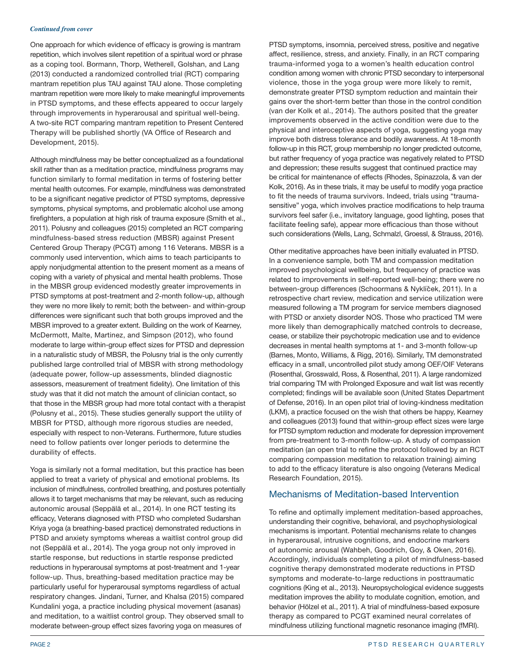#### *Continued from cover*

One approach for which evidence of efficacy is growing is mantram repetition, which involves silent repetition of a spiritual word or phrase as a coping tool. Bormann, Thorp, Wetherell, Golshan, and Lang (2013) conducted a randomized controlled trial (RCT) comparing mantram repetition plus TAU against TAU alone. Those completing mantram repetition were more likely to make meaningful improvements in PTSD symptoms, and these effects appeared to occur largely through improvements in hyperarousal and spiritual well-being. A two-site RCT comparing mantram repetition to Present Centered Therapy will be published shortly (VA Office of Research and Development, 2015).

Although mindfulness may be better conceptualized as a foundational skill rather than as a meditation practice, mindfulness programs may function similarly to formal meditation in terms of fostering better mental health outcomes. For example, mindfulness was demonstrated to be a significant negative predictor of PTSD symptoms, depressive symptoms, physical symptoms, and problematic alcohol use among firefighters, a population at high risk of trauma exposure (Smith et al., 2011). Polusny and colleagues (2015) completed an RCT comparing mindfulness-based stress reduction (MBSR) against Present Centered Group Therapy (PCGT) among 116 Veterans. MBSR is a commonly used intervention, which aims to teach participants to apply nonjudgmental attention to the present moment as a means of coping with a variety of physical and mental health problems. Those in the MBSR group evidenced modestly greater improvements in PTSD symptoms at post-treatment and 2-month follow-up, although they were no more likely to remit; both the between- and within-group differences were significant such that both groups improved and the MBSR improved to a greater extent. Building on the work of Kearney, McDermott, Malte, Martinez, and Simpson (2012), who found moderate to large within-group effect sizes for PTSD and depression in a naturalistic study of MBSR, the Polusny trial is the only currently published large controlled trial of MBSR with strong methodology (adequate power, follow-up assessments, blinded diagnostic assessors, measurement of treatment fidelity). One limitation of this study was that it did not match the amount of clinician contact, so that those in the MBSR group had more total contact with a therapist (Polusny et al., 2015). These studies generally support the utility of MBSR for PTSD, although more rigorous studies are needed, especially with respect to non-Veterans. Furthermore, future studies need to follow patients over longer periods to determine the durability of effects.

Yoga is similarly not a formal meditation, but this practice has been applied to treat a variety of physical and emotional problems. Its inclusion of mindfulness, controlled breathing, and postures potentially allows it to target mechanisms that may be relevant, such as reducing autonomic arousal (Seppälä et al., 2014). In one RCT testing its efficacy, Veterans diagnosed with PTSD who completed Sudarshan Kriya yoga (a breathing-based practice) demonstrated reductions in PTSD and anxiety symptoms whereas a waitlist control group did not (Seppälä et al., 2014). The yoga group not only improved in startle response, but reductions in startle response predicted reductions in hyperarousal symptoms at post-treatment and 1-year follow-up. Thus, breathing-based meditation practice may be particularly useful for hyperarousal symptoms regardless of actual respiratory changes. Jindani, Turner, and Khalsa (2015) compared Kundalini yoga, a practice including physical movement (asanas) and meditation, to a waitlist control group. They observed small to moderate between-group effect sizes favoring yoga on measures of

PTSD symptoms, insomnia, perceived stress, positive and negative affect, resilience, stress, and anxiety. Finally, in an RCT comparing trauma-informed yoga to a women's health education control condition among women with chronic PTSD secondary to interpersonal violence, those in the yoga group were more likely to remit, demonstrate greater PTSD symptom reduction and maintain their gains over the short-term better than those in the control condition (van der Kolk et al., 2014). The authors posited that the greater improvements observed in the active condition were due to the physical and interoceptive aspects of yoga, suggesting yoga may improve both distress tolerance and bodily awareness. At 18-month follow-up in this RCT, group membership no longer predicted outcome, but rather frequency of yoga practice was negatively related to PTSD and depression; these results suggest that continued practice may be critical for maintenance of effects (Rhodes, Spinazzola, & van der Kolk, 2016). As in these trials, it may be useful to modify yoga practice to fit the needs of trauma survivors. Indeed, trials using "traumasensitive" yoga, which involves practice modifications to help trauma survivors feel safer (i.e., invitatory language, good lighting, poses that facilitate feeling safe), appear more efficacious than those without such considerations (Wells, Lang, Schmalzl, Groessl, & Strauss, 2016).

Other meditative approaches have been initially evaluated in PTSD. In a convenience sample, both TM and compassion meditation improved psychological wellbeing, but frequency of practice was related to improvements in self-reported well-being; there were no between-group differences (Schoormans & Nyklíček, 2011). In a retrospective chart review, medication and service utilization were measured following a TM program for service members diagnosed with PTSD or anxiety disorder NOS. Those who practiced TM were more likely than demographically matched controls to decrease, cease, or stabilize their psychotropic medication use and to evidence decreases in mental health symptoms at 1- and 3-month follow-up (Barnes, Monto, Williams, & Rigg, 2016). Similarly, TM demonstrated efficacy in a small, uncontrolled pilot study among OEF/OIF Veterans (Rosenthal, Grosswald, Ross, & Rosenthal, 2011). A large randomized trial comparing TM with Prolonged Exposure and wait list was recently completed; findings will be available soon (United States Department of Defense, 2016). In an open pilot trial of loving-kindness meditation (LKM), a practice focused on the wish that others be happy, Kearney and colleagues (2013) found that within-group effect sizes were large for PTSD symptom reduction and moderate for depression improvement from pre-treatment to 3-month follow-up. A study of compassion meditation (an open trial to refine the protocol followed by an RCT comparing compassion meditation to relaxation training) aiming to add to the efficacy literature is also ongoing (Veterans Medical Research Foundation, 2015).

#### Mechanisms of Meditation-based Intervention

To refine and optimally implement meditation-based approaches, understanding their cognitive, behavioral, and psychophysiological mechanisms is important. Potential mechanisms relate to changes in hyperarousal, intrusive cognitions, and endocrine markers of autonomic arousal (Wahbeh, Goodrich, Goy, & Oken, 2016). Accordingly, individuals completing a pilot of mindfulness-based cognitive therapy demonstrated moderate reductions in PTSD symptoms and moderate-to-large reductions in posttraumatic cognitions (King et al., 2013). Neuropsychological evidence suggests meditation improves the ability to modulate cognition, emotion, and behavior (Hölzel et al., 2011). A trial of mindfulness-based exposure therapy as compared to PCGT examined neural correlates of mindfulness utilizing functional magnetic resonance imaging (fMRI).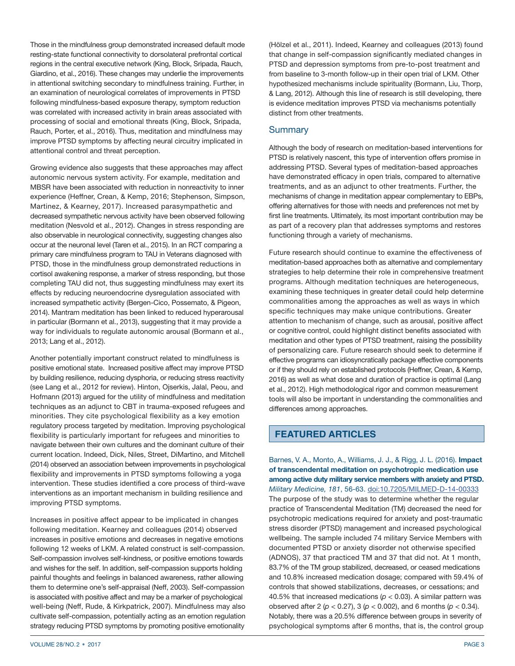Those in the mindfulness group demonstrated increased default mode resting-state functional connectivity to dorsolateral prefrontal cortical regions in the central executive network (King, Block, Sripada, Rauch, Giardino, et al., 2016). These changes may underlie the improvements in attentional switching secondary to mindfulness training. Further, in an examination of neurological correlates of improvements in PTSD following mindfulness-based exposure therapy, symptom reduction was correlated with increased activity in brain areas associated with processing of social and emotional threats (King, Block, Sripada, Rauch, Porter, et al., 2016). Thus, meditation and mindfulness may improve PTSD symptoms by affecting neural circuitry implicated in attentional control and threat perception.

Growing evidence also suggests that these approaches may affect autonomic nervous system activity. For example, meditation and MBSR have been associated with reduction in nonreactivity to inner experience (Heffner, Crean, & Kemp, 2016; Stephenson, Simpson, Martinez, & Kearney, 2017). Increased parasympathetic and decreased sympathetic nervous activity have been observed following meditation (Nesvold et al., 2012). Changes in stress responding are also observable in neurological connectivity, suggesting changes also occur at the neuronal level (Taren et al., 2015). In an RCT comparing a primary care mindfulness program to TAU in Veterans diagnosed with PTSD, those in the mindfulness group demonstrated reductions in cortisol awakening response, a marker of stress responding, but those completing TAU did not, thus suggesting mindfulness may exert its effects by reducing neuroendocrine dysregulation associated with increased sympathetic activity (Bergen-Cico, Possemato, & Pigeon, 2014). Mantram meditation has been linked to reduced hyperarousal in particular (Bormann et al., 2013), suggesting that it may provide a way for individuals to regulate autonomic arousal (Bormann et al., 2013; Lang et al., 2012).

Another potentially important construct related to mindfulness is positive emotional state. Increased positive affect may improve PTSD by building resilience, reducing dysphoria, or reducing stress reactivity (see Lang et al., 2012 for review). Hinton, Ojserkis, Jalal, Peou, and Hofmann (2013) argued for the utility of mindfulness and meditation techniques as an adjunct to CBT in trauma-exposed refugees and minorities. They cite psychological flexibility as a key emotion regulatory process targeted by meditation. Improving psychological flexibility is particularly important for refugees and minorities to navigate between their own cultures and the dominant culture of their current location. Indeed, Dick, Niles, Street, DiMartino, and Mitchell (2014) observed an association between improvements in psychological flexibility and improvements in PTSD symptoms following a yoga intervention. These studies identified a core process of third-wave interventions as an important mechanism in building resilience and improving PTSD symptoms.

Increases in positive affect appear to be implicated in changes following meditation. Kearney and colleagues (2014) observed increases in positive emotions and decreases in negative emotions following 12 weeks of LKM. A related construct is self-compassion. Self-compassion involves self-kindness, or positive emotions towards and wishes for the self. In addition, self-compassion supports holding painful thoughts and feelings in balanced awareness, rather allowing them to determine one's self-appraisal (Neff, 2003). Self-compassion is associated with positive affect and may be a marker of psychological well-being (Neff, Rude, & Kirkpatrick, 2007). Mindfulness may also cultivate self-compassion, potentially acting as an emotion regulation strategy reducing PTSD symptoms by promoting positive emotionality

(Hölzel et al., 2011). Indeed, Kearney and colleagues (2013) found that change in self-compassion significantly mediated changes in PTSD and depression symptoms from pre-to-post treatment and from baseline to 3-month follow-up in their open trial of LKM. Other hypothesized mechanisms include spirituality (Bormann, Liu, Thorp, & Lang, 2012). Although this line of research is still developing, there is evidence meditation improves PTSD via mechanisms potentially distinct from other treatments.

## Summary

Although the body of research on meditation-based interventions for PTSD is relatively nascent, this type of intervention offers promise in addressing PTSD. Several types of meditation-based approaches have demonstrated efficacy in open trials, compared to alternative treatments, and as an adjunct to other treatments. Further, the mechanisms of change in meditation appear complementary to EBPs, offering alternatives for those with needs and preferences not met by first line treatments. Ultimately, its most important contribution may be as part of a recovery plan that addresses symptoms and restores functioning through a variety of mechanisms.

Future research should continue to examine the effectiveness of meditation-based approaches both as alternative and complementary strategies to help determine their role in comprehensive treatment programs. Although meditation techniques are heterogeneous, examining these techniques in greater detail could help determine commonalities among the approaches as well as ways in which specific techniques may make unique contributions. Greater attention to mechanism of change, such as arousal, positive affect or cognitive control, could highlight distinct benefits associated with meditation and other types of PTSD treatment, raising the possibility of personalizing care. Future research should seek to determine if effective programs can idiosyncratically package effective components or if they should rely on established protocols (Heffner, Crean, & Kemp, 2016) as well as what dose and duration of practice is optimal (Lang et al., 2012). High methodological rigor and common measurement tools will also be important in understanding the commonalities and differences among approaches.

# **FEATURED ARTICLES**

Military Medicine, 181, 56-63. doi:10.7205/MILMED-D-14-00333 Barnes, V. A., Monto, A., Williams, J. J., & Rigg, J. L. (2016). **Impact of transcendental meditation on psychotropic medication use among active duty military service members with anxiety and PTSD.**  The purpose of the study was to determine whether the regular practice of Transcendental Meditation (TM) decreased the need for psychotropic medications required for anxiety and post-traumatic stress disorder (PTSD) management and increased psychological wellbeing. The sample included 74 military Service Members with documented PTSD or anxiety disorder not otherwise specified (ADNOS), 37 that practiced TM and 37 that did not. At 1 month, 83.7% of the TM group stabilized, decreased, or ceased medications and 10.8% increased medication dosage; compared with 59.4% of controls that showed stabilizations, decreases, or cessations; and 40.5% that increased medications (*p* < 0.03). A similar pattern was observed after 2 (*p* < 0.27), 3 (*p* < 0.002), and 6 months (*p* < 0.34). Notably, there was a 20.5% difference between groups in severity of psychological symptoms after 6 months, that is, the control group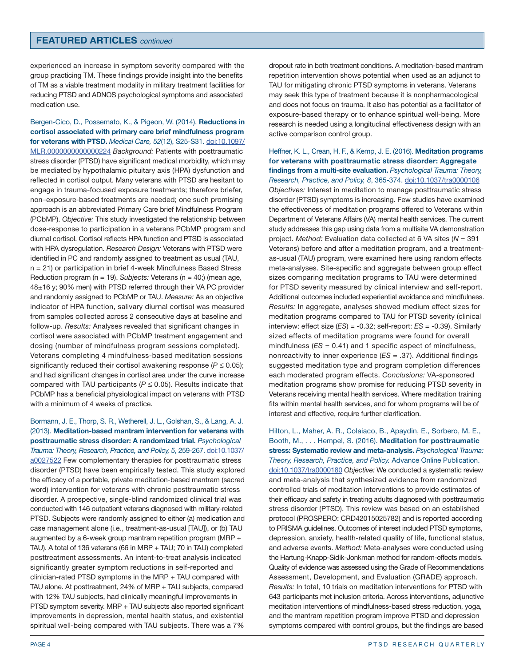#### **FEATURED ARTICLES** *continued*

experienced an increase in symptom severity compared with the group practicing TM. These findings provide insight into the benefits of TM as a viable treatment modality in military treatment facilities for reducing PTSD and ADNOS psychological symptoms and associated medication use.

Bergen-Cico, D., Possemato, K., & Pigeon, W. (2014). **Reductions in cortisol associated with primary care brief mindfulness program for veterans with PTSD.** *Medical Care, 52*(12), S25-S31. [doi:10.1097/](http://dx.doi.org/10.1097/MLR.0000000000000224)  [MLR.0000000000000224](http://dx.doi.org/10.1097/MLR.0000000000000224) *Background:* Patients with posttraumatic stress disorder (PTSD) have significant medical morbidity, which may be mediated by hypothalamic pituitary axis (HPA) dysfunction and reflected in cortisol output. Many veterans with PTSD are hesitant to engage in trauma-focused exposure treatments; therefore briefer, non–exposure-based treatments are needed; one such promising approach is an abbreviated Primary Care brief Mindfulness Program (PCbMP). *Objective:* This study investigated the relationship between dose-response to participation in a veterans PCbMP program and diurnal cortisol. Cortisol reflects HPA function and PTSD is associated with HPA dysregulation. *Research Design:* Veterans with PTSD were identified in PC and randomly assigned to treatment as usual (TAU, n = 21) or participation in brief 4-week Mindfulness Based Stress Reduction program (n = 19). *Subjects:* Veterans (n = 40;) (mean age, 48±16 y; 90% men) with PTSD referred through their VA PC provider and randomly assigned to PCbMP or TAU. *Measure:* As an objective indicator of HPA function, salivary diurnal cortisol was measured from samples collected across 2 consecutive days at baseline and follow-up. *Results:* Analyses revealed that significant changes in cortisol were associated with PCbMP treatment engagement and dosing (number of mindfulness program sessions completed). Veterans completing 4 mindfulness-based meditation sessions significantly reduced their cortisol awakening response (*P* ≤ 0.05); and had significant changes in cortisol area under the curve increase compared with TAU participants (*P* ≤ 0.05). Results indicate that PCbMP has a beneficial physiological impact on veterans with PTSD with a minimum of 4 weeks of practice.

Bormann, J. E., Thorp, S. R., Wetherell, J. L., Golshan, S., & Lang, A. J. (2013). **Meditation-based mantram intervention for veterans with posttraumatic stress disorder: A randomized trial.** *Psychological Trauma: Theory, Research, Practice, and Policy, 5*, 259-267. [doi:10.1037/](http://dx.doi.org/10.1037/a0027522)  [a0027522](http://dx.doi.org/10.1037/a0027522) Few complementary therapies for posttraumatic stress disorder (PTSD) have been empirically tested. This study explored the efficacy of a portable, private meditation-based mantram (sacred word) intervention for veterans with chronic posttraumatic stress disorder. A prospective, single-blind randomized clinical trial was conducted with 146 outpatient veterans diagnosed with military-related PTSD. Subjects were randomly assigned to either (a) medication and case management alone (i.e., treatment-as-usual [TAU]), or (b) TAU augmented by a 6-week group mantram repetition program (MRP + TAU). A total of 136 veterans (66 in MRP + TAU; 70 in TAU) completed posttreatment assessments. An intent-to-treat analysis indicated significantly greater symptom reductions in self-reported and clinician-rated PTSD symptoms in the MRP + TAU compared with TAU alone. At posttreatment, 24% of MRP + TAU subjects, compared with 12% TAU subjects, had clinically meaningful improvements in PTSD symptom severity. MRP + TAU subjects also reported significant improvements in depression, mental health status, and existential spiritual well-being compared with TAU subjects. There was a 7%

dropout rate in both treatment conditions. A meditation-based mantram repetition intervention shows potential when used as an adjunct to TAU for mitigating chronic PTSD symptoms in veterans. Veterans may seek this type of treatment because it is nonpharmacological and does not focus on trauma. It also has potential as a facilitator of exposure-based therapy or to enhance spiritual well-being. More research is needed using a longitudinal effectiveness design with an active comparison control group.

Heffner, K. L., Crean, H. F., & Kemp, J. E. (2016). **Meditation programs for veterans with posttraumatic stress disorder: Aggregate findings from a multi-site evaluation.** *Psychological Trauma: Theory, Research, Practice, and Policy, 8*, 365-374. [doi:10.1037/tra0000106](http://dx.doi.org/10.1037/tra0000106) *Objectives:* Interest in meditation to manage posttraumatic stress disorder (PTSD) symptoms is increasing. Few studies have examined the effectiveness of meditation programs offered to Veterans within Department of Veterans Affairs (VA) mental health services. The current study addresses this gap using data from a multisite VA demonstration project. *Method:* Evaluation data collected at 6 VA sites (*N* = 391 Veterans) before and after a meditation program, and a treatmentas-usual (TAU) program, were examined here using random effects meta-analyses. Site-specific and aggregate between group effect sizes comparing meditation programs to TAU were determined for PTSD severity measured by clinical interview and self-report. Additional outcomes included experiential avoidance and mindfulness. *Results:* In aggregate, analyses showed medium effect sizes for meditation programs compared to TAU for PTSD severity (clinical interview: effect size (*ES*) = -0.32; self-report: *ES* = -0.39). Similarly sized effects of meditation programs were found for overall mindfulness (*ES* = 0.41) and 1 specific aspect of mindfulness, nonreactivity to inner experience (*ES* = .37). Additional findings suggested meditation type and program completion differences each moderated program effects. *Conclusions:* VA-sponsored meditation programs show promise for reducing PTSD severity in Veterans receiving mental health services. Where meditation training fits within mental health services, and for whom programs will be of interest and effective, require further clarification.

Hilton, L., Maher, A. R., Colaiaco, B., Apaydin, E., Sorbero, M. E., Booth, M., . . . Hempel, S. (2016). **Meditation for posttraumatic stress: Systematic review and meta-analysis.** *Psychological Trauma: Theory, Research, Practice, and Policy.* Advance Online Publication. [doi:10.1037/tra0000180](http://dx.doi.org/10.1037/tra0000180) *Objective:* We conducted a systematic review and meta-analysis that synthesized evidence from randomized controlled trials of meditation interventions to provide estimates of their efficacy and safety in treating adults diagnosed with posttraumatic stress disorder (PTSD). This review was based on an established protocol (PROSPERO: CRD42015025782) and is reported according to PRISMA guidelines. Outcomes of interest included PTSD symptoms, depression, anxiety, health-related quality of life, functional status, and adverse events. *Method:* Meta-analyses were conducted using the Hartung-Knapp-Sidik-Jonkman method for random-effects models. Quality of evidence was assessed using the Grade of Recommendations Assessment, Development, and Evaluation (GRADE) approach. *Results:* In total, 10 trials on meditation interventions for PTSD with 643 participants met inclusion criteria. Across interventions, adjunctive meditation interventions of mindfulness-based stress reduction, yoga, and the mantram repetition program improve PTSD and depression symptoms compared with control groups, but the findings are based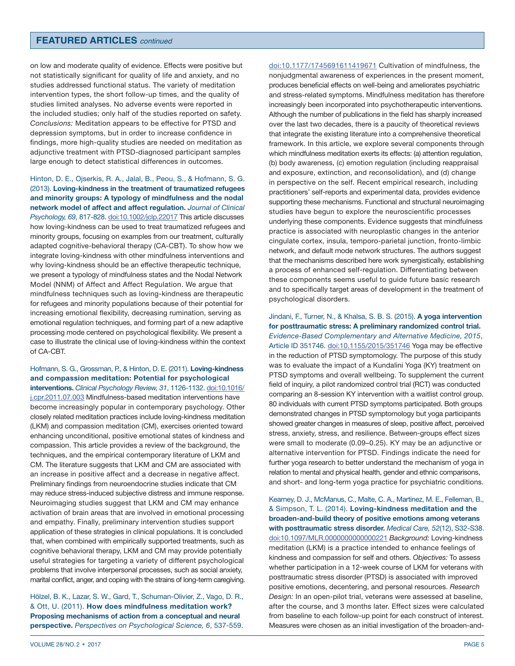#### **FEATURED ARTICLES** *continued*

on low and moderate quality of evidence. Effects were positive but not statistically significant for quality of life and anxiety, and no studies addressed functional status. The variety of meditation intervention types, the short follow-up times, and the quality of studies limited analyses. No adverse events were reported in the included studies; only half of the studies reported on safety. *Conclusions:* Meditation appears to be effective for PTSD and depression symptoms, but in order to increase confidence in findings, more high-quality studies are needed on meditation as adjunctive treatment with PTSD-diagnosed participant samples large enough to detect statistical differences in outcomes.

Hinton, D. E., Ojserkis, R. A., Jalal, B., Peou, S., & Hofmann, S. G. (2013). **Loving-kindness in the treatment of traumatized refugees and minority groups: A typology of mindfulness and the nodal network model of affect and affect regulation.** *Journal of Clinical Psychology, 69*, 817-828. [doi:10.1002/jclp.22017](http://dx.doi.org/10.1002/jclp.22017) This article discusses how loving-kindness can be used to treat traumatized refugees and minority groups, focusing on examples from our treatment, culturally adapted cognitive-behavioral therapy (CA-CBT). To show how we integrate loving-kindness with other mindfulness interventions and why loving-kindness should be an effective therapeutic technique, we present a typology of mindfulness states and the Nodal Network Model (NNM) of Affect and Affect Regulation. We argue that mindfulness techniques such as loving-kindness are therapeutic for refugees and minority populations because of their potential for increasing emotional flexibility, decreasing rumination, serving as emotional regulation techniques, and forming part of a new adaptive processing mode centered on psychological flexibility. We present a case to illustrate the clinical use of loving-kindness within the context of CA-CBT.

Hofmann, S. G., Grossman, P., & Hinton, D. E. (2011). **Loving-kindness and compassion meditation: Potential for psychological interventions.** *Clinical Psychology Review, 31*, 1126-1132. [doi:10.1016/](http://dx.doi.org/10.1016/j.cpr.2011.07.003)  [j.cpr.2011.07.003](http://dx.doi.org/10.1016/j.cpr.2011.07.003) Mindfulness-based meditation interventions have become increasingly popular in contemporary psychology. Other closely related meditation practices include loving-kindness meditation (LKM) and compassion meditation (CM), exercises oriented toward enhancing unconditional, positive emotional states of kindness and compassion. This article provides a review of the background, the techniques, and the empirical contemporary literature of LKM and CM. The literature suggests that LKM and CM are associated with an increase in positive affect and a decrease in negative affect. Preliminary findings from neuroendocrine studies indicate that CM may reduce stress-induced subjective distress and immune response. Neuroimaging studies suggest that LKM and CM may enhance activation of brain areas that are involved in emotional processing and empathy. Finally, preliminary intervention studies support application of these strategies in clinical populations. It is concluded that, when combined with empirically supported treatments, such as cognitive behavioral therapy, LKM and CM may provide potentially useful strategies for targeting a variety of different psychological problems that involve interpersonal processes, such as social anxiety, marital conflict, anger, and coping with the strains of long-term caregiving.

Hölzel, B. K., Lazar, S. W., Gard, T., Schuman-Olivier, Z., Vago, D. R., & Ott, U. (2011). **How does mindfulness meditation work? Proposing mechanisms of action from a conceptual and neural perspective.** *Perspectives on Psychological Science, 6*, 537-559.

[doi:10.1177/1745691611419671](http://dx.doi.org/10.1177/1745691611419671) Cultivation of mindfulness, the nonjudgmental awareness of experiences in the present moment, produces beneficial effects on well-being and ameliorates psychiatric and stress-related symptoms. Mindfulness meditation has therefore increasingly been incorporated into psychotherapeutic interventions. Although the number of publications in the field has sharply increased over the last two decades, there is a paucity of theoretical reviews that integrate the existing literature into a comprehensive theoretical framework. In this article, we explore several components through which mindfulness meditation exerts its effects: (a) attention regulation, (b) body awareness, (c) emotion regulation (including reappraisal and exposure, extinction, and reconsolidation), and (d) change in perspective on the self. Recent empirical research, including practitioners' self-reports and experimental data, provides evidence supporting these mechanisms. Functional and structural neuroimaging studies have begun to explore the neuroscientific processes underlying these components. Evidence suggests that mindfulness practice is associated with neuroplastic changes in the anterior cingulate cortex, insula, temporo-parietal junction, fronto-limbic network, and default mode network structures. The authors suggest that the mechanisms described here work synergistically, establishing a process of enhanced self-regulation. Differentiating between these components seems useful to guide future basic research and to specifically target areas of development in the treatment of psychological disorders.

Jindani, F., Turner, N., & Khalsa, S. B. S. (2015). **A yoga intervention for posttraumatic stress: A preliminary randomized control trial.**  *Evidence-Based Complementary and Alternative Medicine, 2015*, Article ID 351746. [doi:10.1155/2015/351746](http://dx.doi.org/10.1155/2015/351746) Yoga may be effective in the reduction of PTSD symptomology. The purpose of this study was to evaluate the impact of a Kundalini Yoga (KY) treatment on PTSD symptoms and overall wellbeing. To supplement the current field of inquiry, a pilot randomized control trial (RCT) was conducted comparing an 8-session KY intervention with a waitlist control group. 80 individuals with current PTSD symptoms participated. Both groups demonstrated changes in PTSD symptomology but yoga participants showed greater changes in measures of sleep, positive affect, perceived stress, anxiety, stress, and resilience. Between-groups effect sizes were small to moderate (0.09–0.25). KY may be an adjunctive or alternative intervention for PTSD. Findings indicate the need for further yoga research to better understand the mechanism of yoga in relation to mental and physical health, gender and ethnic comparisons, and short- and long-term yoga practice for psychiatric conditions.

Kearney, D. J., McManus, C., Malte, C. A., Martinez, M. E., Felleman, B., & Simpson, T. L. (2014). **Loving-kindness meditation and the broaden-and-build theory of positive emotions among veterans with posttraumatic stress disorder.** *Medical Care, 52*(12), S32-S38. [doi:10.1097/MLR.0000000000000221](http://dx.doi.org/10.1097/MLR.0000000000000221) *Background:* Loving-kindness meditation (LKM) is a practice intended to enhance feelings of kindness and compassion for self and others. *Objectives:* To assess whether participation in a 12-week course of LKM for veterans with posttraumatic stress disorder (PTSD) is associated with improved positive emotions, decentering, and personal resources. *Research Design:* In an open-pilot trial, veterans were assessed at baseline, after the course, and 3 months later. Effect sizes were calculated from baseline to each follow-up point for each construct of interest. Measures were chosen as an initial investigation of the broaden-and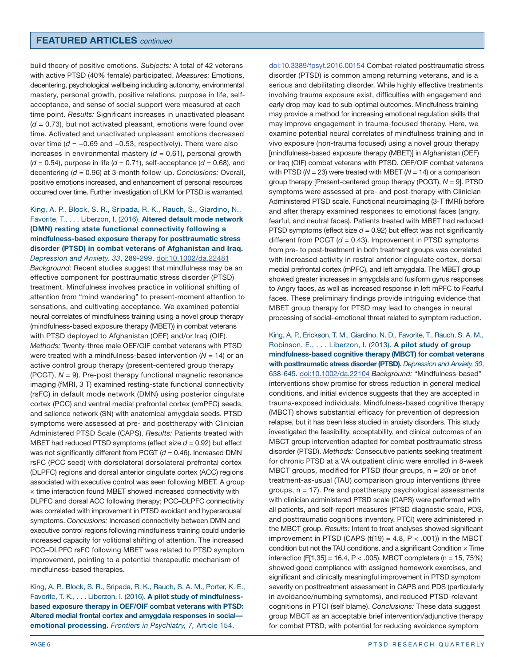build theory of positive emotions. *Subjects:* A total of 42 veterans with active PTSD (40% female) participated. *Measures:* Emotions, decentering, psychological wellbeing including autonomy, environmental mastery, personal growth, positive relations, purpose in life, selfacceptance, and sense of social support were measured at each time point. *Results:* Significant increases in unactivated pleasant (*d* = 0.73), but not activated pleasant, emotions were found over time. Activated and unactivated unpleasant emotions decreased over time (*d* = −0.69 and −0.53, respectively). There were also increases in environmental mastery  $(d = 0.61)$ , personal growth  $(d = 0.54)$ , purpose in life  $(d = 0.71)$ , self-acceptance  $(d = 0.68)$ , and decentering (*d* = 0.96) at 3-month follow-up. *Conclusions:* Overall, positive emotions increased, and enhancement of personal resources occurred over time. Further investigation of LKM for PTSD is warranted.

King, A. P., Block, S. R., Sripada, R. K., Rauch, S., Giardino, N., Favorite, T., . . . Liberzon, I. (2016). **Altered default mode network (DMN) resting state functional connectivity following a mindfulness-based exposure therapy for posttraumatic stress disorder (PTSD) in combat veterans of Afghanistan and Iraq.**  *Depression and Anxiety, 33*, 289-299. [doi:10.1002/da.22481](http://dx.doi.org/10.1002/da.22481)  *Background:* Recent studies suggest that mindfulness may be an effective component for posttraumatic stress disorder (PTSD) treatment. Mindfulness involves practice in volitional shifting of attention from "mind wandering" to present-moment attention to sensations, and cultivating acceptance. We examined potential neural correlates of mindfulness training using a novel group therapy (mindfulness-based exposure therapy (MBET)) in combat veterans with PTSD deployed to Afghanistan (OEF) and/or Iraq (OIF). *Methods:* Twenty-three male OEF/OIF combat veterans with PTSD were treated with a mindfulness-based intervention ( $N = 14$ ) or an active control group therapy (present-centered group therapy (PCGT), *N* = 9). Pre-post therapy functional magnetic resonance imaging (fMRI, 3 T) examined resting-state functional connectivity (rsFC) in default mode network (DMN) using posterior cingulate cortex (PCC) and ventral medial prefrontal cortex (vmPFC) seeds, and salience network (SN) with anatomical amygdala seeds. PTSD symptoms were assessed at pre- and posttherapy with Clinician Administered PTSD Scale (CAPS). *Results:* Patients treated with MBET had reduced PTSD symptoms (effect size *d* = 0.92) but effect was not significantly different from PCGT ( $d = 0.46$ ). Increased DMN rsFC (PCC seed) with dorsolateral dorsolateral prefrontal cortex (DLPFC) regions and dorsal anterior cingulate cortex (ACC) regions associated with executive control was seen following MBET. A group × time interaction found MBET showed increased connectivity with DLPFC and dorsal ACC following therapy; PCC–DLPFC connectivity was correlated with improvement in PTSD avoidant and hyperarousal symptoms. *Conclusions:* Increased connectivity between DMN and executive control regions following mindfulness training could underlie increased capacity for volitional shifting of attention. The increased PCC–DLPFC rsFC following MBET was related to PTSD symptom improvement, pointing to a potential therapeutic mechanism of mindfulness-based therapies.

King, A. P., Block, S. R., Sripada, R. K., Rauch, S. A. M., Porter, K. E., Favorite, T. K., . . . Liberzon, I. (2016). **A pilot study of mindfulnessbased exposure therapy in OEF/OIF combat veterans with PTSD: Altered medial frontal cortex and amygdala responses in social emotional processing.** *Frontiers in Psychiatry, 7,* Article 154.

[doi:10.3389/fpsyt.2016.00154](http://dx.doi.org/10.3389/fpsyt.2016.00154) Combat-related posttraumatic stress disorder (PTSD) is common among returning veterans, and is a serious and debilitating disorder. While highly effective treatments involving trauma exposure exist, difficulties with engagement and early drop may lead to sub-optimal outcomes. Mindfulness training may provide a method for increasing emotional regulation skills that may improve engagement in trauma-focused therapy. Here, we examine potential neural correlates of mindfulness training and in vivo exposure (non-trauma focused) using a novel group therapy [mindfulness-based exposure therapy (MBET)] in Afghanistan (OEF) or Iraq (OIF) combat veterans with PTSD. OEF/OIF combat veterans with PTSD ( $N = 23$ ) were treated with MBET ( $N = 14$ ) or a comparison group therapy [Present-centered group therapy (PCGT), *N* = 9]. PTSD symptoms were assessed at pre- and post-therapy with Clinician Administered PTSD scale. Functional neuroimaging (3-T fMRI) before and after therapy examined responses to emotional faces (angry, fearful, and neutral faces). Patients treated with MBET had reduced PTSD symptoms (effect size  $d = 0.92$ ) but effect was not significantly different from PCGT (*d* = 0.43). Improvement in PTSD symptoms from pre- to post-treatment in both treatment groups was correlated with increased activity in rostral anterior cingulate cortex, dorsal medial prefrontal cortex (mPFC), and left amygdala. The MBET group showed greater increases in amygdala and fusiform gyrus responses to Angry faces, as well as increased response in left mPFC to Fearful faces. These preliminary findings provide intriguing evidence that MBET group therapy for PTSD may lead to changes in neural processing of social–emotional threat related to symptom reduction.

King, A. P., Erickson, T. M., Giardino, N. D., Favorite, T., Rauch, S. A. M., Robinson, E., . . . Liberzon, I. (2013). **A pilot study of group mindfulness-based cognitive therapy (MBCT) for combat veterans with posttraumatic stress disorder (PTSD).** *Depression and Anxiety, 30*, 638-645. [doi:10.1002/da.22104](http://dx.doi.org/10.1002/da.22104) *Background:* "Mindfulness-based" interventions show promise for stress reduction in general medical conditions, and initial evidence suggests that they are accepted in trauma-exposed individuals. Mindfulness-based cognitive therapy (MBCT) shows substantial efficacy for prevention of depression relapse, but it has been less studied in anxiety disorders. This study investigated the feasibility, acceptability, and clinical outcomes of an MBCT group intervention adapted for combat posttraumatic stress disorder (PTSD). *Methods:* Consecutive patients seeking treatment for chronic PTSD at a VA outpatient clinic were enrolled in 8-week MBCT groups, modified for PTSD (four groups,  $n = 20$ ) or brief treatment-as-usual (TAU) comparison group interventions (three groups,  $n = 17$ ). Pre and posttherapy psychological assessments with clinician administered PTSD scale (CAPS) were performed with all patients, and self-report measures (PTSD diagnostic scale, PDS, and posttraumatic cognitions inventory, PTCI) were administered in the MBCT group. *Results:* Intent to treat analyses showed significant improvement in PTSD (CAPS  $(t(19) = 4.8, P < .001)$ ) in the MBCT condition but not the TAU conditions, and a significant Condition  $\times$  Time interaction (F[1,35] = 16.4, P < .005). MBCT completers (n = 15, 75%) showed good compliance with assigned homework exercises, and significant and clinically meaningful improvement in PTSD symptom severity on posttreatment assessment in CAPS and PDS (particularly in avoidance/numbing symptoms), and reduced PTSD-relevant cognitions in PTCI (self blame). *Conclusions:* These data suggest group MBCT as an acceptable brief intervention/adjunctive therapy for combat PTSD, with potential for reducing avoidance symptom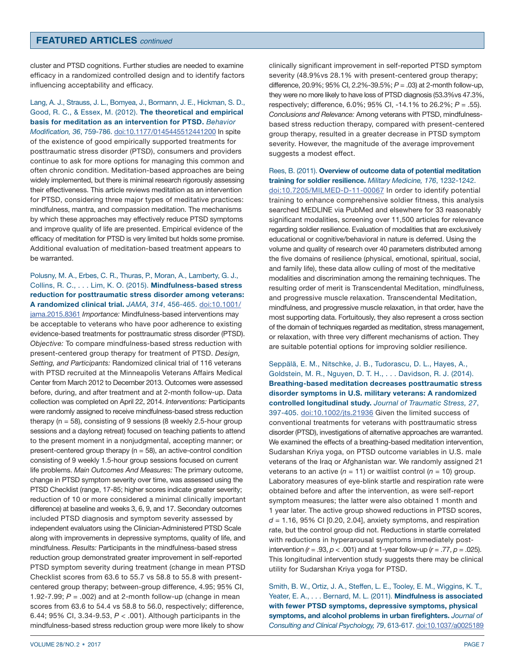#### **FEATURED ARTICLES** *continued*

cluster and PTSD cognitions. Further studies are needed to examine efficacy in a randomized controlled design and to identify factors influencing acceptability and efficacy.

Lang, A. J., Strauss, J. L., Bomyea, J., Bormann, J. E., Hickman, S. D., Good, R. C., & Essex, M. (2012). **The theoretical and empirical basis for meditation as an intervention for PTSD.** *Behavior Modification, 36*, 759-786. [doi:10.1177/0145445512441200](http://dx.doi.org/10.1177/0145445512441200) In spite of the existence of good empirically supported treatments for posttraumatic stress disorder (PTSD), consumers and providers continue to ask for more options for managing this common and often chronic condition. Meditation-based approaches are being widely implemented, but there is minimal research rigorously assessing their effectiveness. This article reviews meditation as an intervention for PTSD, considering three major types of meditative practices: mindfulness, mantra, and compassion meditation. The mechanisms by which these approaches may effectively reduce PTSD symptoms and improve quality of life are presented. Empirical evidence of the efficacy of meditation for PTSD is very limited but holds some promise. Additional evaluation of meditation-based treatment appears to be warranted.

Polusny, M. A., Erbes, C. R., Thuras, P., Moran, A., Lamberty, G. J., Collins, R. C., . . . Lim, K. O. (2015). **Mindfulness-based stress reduction for posttraumatic stress disorder among veterans: A randomized clinical trial.** *JAMA, 314*, 456-465. [doi:10.1001/](http://dx.doi.org/10.1001/jama.2015.8361)  [jama.2015.8361](http://dx.doi.org/10.1001/jama.2015.8361) *Importance:* Mindfulness-based interventions may be acceptable to veterans who have poor adherence to existing evidence-based treatments for posttraumatic stress disorder (PTSD). *Objective:* To compare mindfulness-based stress reduction with present-centered group therapy for treatment of PTSD. *Design, Setting, and Participants:* Randomized clinical trial of 116 veterans with PTSD recruited at the Minneapolis Veterans Affairs Medical Center from March 2012 to December 2013. Outcomes were assessed before, during, and after treatment and at 2-month follow-up. Data collection was completed on April 22, 2014. *Interventions:* Participants were randomly assigned to receive mindfulness-based stress reduction therapy ( $n = 58$ ), consisting of 9 sessions (8 weekly 2.5-hour group sessions and a daylong retreat) focused on teaching patients to attend to the present moment in a nonjudgmental, accepting manner; or present-centered group therapy ( $n = 58$ ), an active-control condition consisting of 9 weekly 1.5-hour group sessions focused on current life problems. *Main Outcomes And Measures:* The primary outcome, change in PTSD symptom severity over time, was assessed using the PTSD Checklist (range, 17-85; higher scores indicate greater severity; reduction of 10 or more considered a minimal clinically important difference) at baseline and weeks 3, 6, 9, and 17. Secondary outcomes included PTSD diagnosis and symptom severity assessed by independent evaluators using the Clinician-Administered PTSD Scale along with improvements in depressive symptoms, quality of life, and mindfulness. *Results:* Participants in the mindfulness-based stress reduction group demonstrated greater improvement in self-reported PTSD symptom severity during treatment (change in mean PTSD Checklist scores from 63.6 to 55.7 vs 58.8 to 55.8 with presentcentered group therapy; between-group difference, 4.95; 95% CI, 1.92-7.99; *P* = .002) and at 2-month follow-up (change in mean scores from 63.6 to 54.4 vs 58.8 to 56.0, respectively; difference, 6.44; 95% CI, 3.34-9.53, *P* < .001). Although participants in the mindfulness-based stress reduction group were more likely to show

clinically significant improvement in self-reported PTSD symptom severity (48.9%vs 28.1% with present-centered group therapy; difference, 20.9%; 95% CI, 2.2%-39.5%; *P* = .03) at 2-month follow-up, they were no more likely to have loss of PTSD diagnosis (53.3%vs 47.3%, respectively; difference, 6.0%; 95% CI, -14.1% to 26.2%; *P* = .55). *Conclusions and Relevance:* Among veterans with PTSD, mindfulnessbased stress reduction therapy, compared with present-centered group therapy, resulted in a greater decrease in PTSD symptom severity. However, the magnitude of the average improvement suggests a modest effect.

Rees, B. (2011). **Overview of outcome data of potential meditation training for soldier resilience.** *Military Medicine, 176*, 1232-1242. [doi:10.7205/MILMED-D-11-00067](http://dx.doi.org/10.7205/MILMED-D-11-00067) In order to identify potential training to enhance comprehensive soldier fitness, this analysis searched MEDLINE via PubMed and elsewhere for 33 reasonably significant modalities, screening over 11,500 articles for relevance regarding soldier resilience. Evaluation of modalities that are exclusively educational or cognitive/behavioral in nature is deferred. Using the volume and quality of research over 40 parameters distributed among the five domains of resilience (physical, emotional, spiritual, social, and family life), these data allow culling of most of the meditative modalities and discrimination among the remaining techniques. The resulting order of merit is Transcendental Meditation, mindfulness, and progressive muscle relaxation. Transcendental Meditation, mindfulness, and progressive muscle relaxation, in that order, have the most supporting data. Fortuitously, they also represent a cross section of the domain of techniques regarded as meditation, stress management, or relaxation, with three very different mechanisms of action. They are suitable potential options for improving soldier resilience.

Seppälä, E. M., Nitschke, J. B., Tudorascu, D. L., Hayes, A., Goldstein, M. R., Nguyen, D. T. H., . . . Davidson, R. J. (2014). **Breathing-based meditation decreases posttraumatic stress disorder symptoms in U.S. military veterans: A randomized controlled longitudinal study.** *Journal of Traumatic Stress, 27*, 397-405. [doi:10.1002/jts.21936](http://dx.doi.org/10.1002/jts.21936) Given the limited success of conventional treatments for veterans with posttraumatic stress disorder (PTSD), investigations of alternative approaches are warranted. We examined the effects of a breathing-based meditation intervention, Sudarshan Kriya yoga, on PTSD outcome variables in U.S. male veterans of the Iraq or Afghanistan war. We randomly assigned 21 veterans to an active  $(n = 11)$  or waitlist control  $(n = 10)$  group. Laboratory measures of eye-blink startle and respiration rate were obtained before and after the intervention, as were self-report symptom measures; the latter were also obtained 1 month and 1 year later. The active group showed reductions in PTSD scores,  $d = 1.16$ , 95% CI [0.20, 2.04], anxiety symptoms, and respiration rate, but the control group did not. Reductions in startle correlated with reductions in hyperarousal symptoms immediately postintervention  $(r = .93, p < .001)$  and at 1-year follow-up  $(r = .77, p = .025)$ . This longitudinal intervention study suggests there may be clinical utility for Sudarshan Kriya yoga for PTSD.

Smith, B. W., Ortiz, J. A., Steffen, L. E., Tooley, E. M., Wiggins, K. T., Yeater, E. A., . . . Bernard, M. L. (2011). **Mindfulness is associated with fewer PTSD symptoms, depressive symptoms, physical symptoms, and alcohol problems in urban firefighters.** *Journal of Consulting and Clinical Psychology, 79*, 613-617. [doi:10.1037/a0025189](http://dx.doi.org/10.1037/a0025189)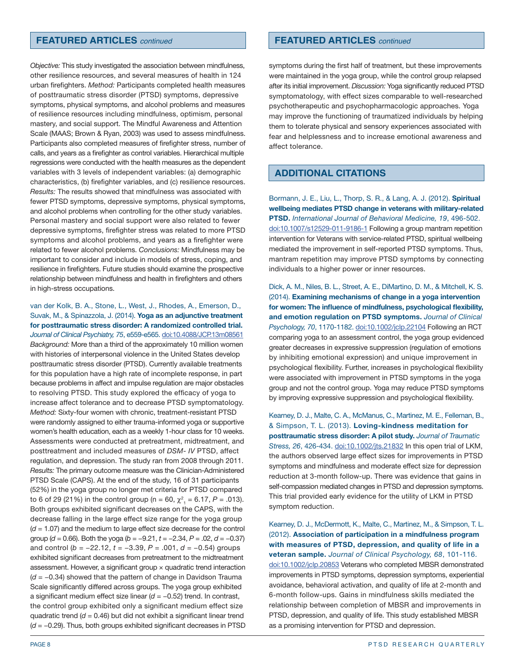*Objective:* This study investigated the association between mindfulness, other resilience resources, and several measures of health in 124 urban firefighters. *Method:* Participants completed health measures of posttraumatic stress disorder (PTSD) symptoms, depressive symptoms, physical symptoms, and alcohol problems and measures of resilience resources including mindfulness, optimism, personal mastery, and social support. The Mindful Awareness and Attention Scale (MAAS; Brown & Ryan, 2003) was used to assess mindfulness. Participants also completed measures of firefighter stress, number of calls, and years as a firefighter as control variables. Hierarchical multiple regressions were conducted with the health measures as the dependent variables with 3 levels of independent variables: (a) demographic characteristics, (b) firefighter variables, and (c) resilience resources. *Results:* The results showed that mindfulness was associated with fewer PTSD symptoms, depressive symptoms, physical symptoms, and alcohol problems when controlling for the other study variables. Personal mastery and social support were also related to fewer depressive symptoms, firefighter stress was related to more PTSD symptoms and alcohol problems, and years as a firefighter were related to fewer alcohol problems. *Conclusions:* Mindfulness may be important to consider and include in models of stress, coping, and resilience in firefighters. Future studies should examine the prospective relationship between mindfulness and health in firefighters and others in high-stress occupations.

van der Kolk, B. A., Stone, L., West, J., Rhodes, A., Emerson, D., Suvak, M., & Spinazzola, J. (2014). **Yoga as an adjunctive treatment for posttraumatic stress disorder: A randomized controlled trial.**  *Journal of Clinical Psychiatry, 75*, e559-e565. [doi:10.4088/JCP.13m08561](http://dx.doi.org/10.4088/JCP.13m08561)  *Background:* More than a third of the approximately 10 million women with histories of interpersonal violence in the United States develop posttraumatic stress disorder (PTSD). Currently available treatments for this population have a high rate of incomplete response, in part because problems in affect and impulse regulation are major obstacles to resolving PTSD. This study explored the efficacy of yoga to increase affect tolerance and to decrease PTSD symptomatology. *Method:* Sixty-four women with chronic, treatment-resistant PTSD were randomly assigned to either trauma-informed yoga or supportive women's health education, each as a weekly 1-hour class for 10 weeks. Assessments were conducted at pretreatment, midtreatment, and posttreatment and included measures of *DSM- IV* PTSD, affect regulation, and depression. The study ran from 2008 through 2011. *Results:* The primary outcome measure was the Clinician-Administered PTSD Scale (CAPS). At the end of the study, 16 of 31 participants (52%) in the yoga group no longer met criteria for PTSD compared to 6 of 29 (21%) in the control group (n = 60,  $\chi^2$ <sub>1</sub> = 6.17, P = .013). Both groups exhibited significant decreases on the CAPS, with the decrease falling in the large effect size range for the yoga group (*d* = 1.07) and the medium to large effect size decrease for the control group (*d* = 0.66). Both the yoga (*b* = −9.21, *t* = −2.34, *P* = .02, *d* = −0.37) and control (*b* = −22.12, *t* = −3.39, *P* = .001, *d* = −0.54) groups exhibited significant decreases from pretreatment to the midtreatment assessment. However, a significant group × quadratic trend interaction (*d* = −0.34) showed that the pattern of change in Davidson Trauma Scale significantly differed across groups. The yoga group exhibited a significant medium effect size linear (*d* = −0.52) trend. In contrast, the control group exhibited only a significant medium effect size quadratic trend (*d* = 0.46) but did not exhibit a significant linear trend (*d* = −0.29). Thus, both groups exhibited significant decreases in PTSD

#### **FEATURED ARTICLES** *continued* **FEATURED ARTICLES** *continued*

symptoms during the first half of treatment, but these improvements were maintained in the yoga group, while the control group relapsed after its initial improvement. *Discussion:* Yoga significantly reduced PTSD symptomatology, with effect sizes comparable to well-researched psychotherapeutic and psychopharmacologic approaches. Yoga may improve the functioning of traumatized individuals by helping them to tolerate physical and sensory experiences associated with fear and helplessness and to increase emotional awareness and affect tolerance.

# **ADDITIONAL CITATIONS**

Bormann, J. E., Liu, L., Thorp, S. R., & Lang, A. J. (2012). **Spiritual wellbeing mediates PTSD change in veterans with military-related PTSD.** *International Journal of Behavioral Medicine, 19*, 496-502. [doi:10.1007/s12529-011-9186-1](http://dx.doi.org/10.1007/s12529-011-9186-1) Following a group mantram repetition intervention for Veterans with service-related PTSD, spiritual wellbeing mediated the improvement in self-reported PTSD symptoms. Thus, mantram repetition may improve PTSD symptoms by connecting individuals to a higher power or inner resources.

Dick, A. M., Niles, B. L., Street, A. E., DiMartino, D. M., & Mitchell, K. S. (2014). **Examining mechanisms of change in a yoga intervention for women: The influence of mindfulness, psychological flexibility, and emotion regulation on PTSD symptoms.** *Journal of Clinical Psychology, 70*, 1170-1182. [doi:10.1002/jclp.22104](http://dx.doi.org/10.1002/jclp.22104) Following an RCT comparing yoga to an assessment control, the yoga group evidenced greater decreases in expressive suppression (regulation of emotions by inhibiting emotional expression) and unique improvement in psychological flexibility. Further, increases in psychological flexibility were associated with improvement in PTSD symptoms in the yoga group and not the control group. Yoga may reduce PTSD symptoms by improving expressive suppression and psychological flexibility.

Kearney, D. J., Malte, C. A., McManus, C., Martinez, M. E., Felleman, B., & Simpson, T. L. (2013). **Loving-kindness meditation for posttraumatic stress disorder: A pilot study.** *Journal of Traumatic Stress, 26*, 426-434. [doi:10.1002/jts.21832](http://dx.doi.org/10.1002/jts.21832) In this open trial of LKM, the authors observed large effect sizes for improvements in PTSD symptoms and mindfulness and moderate effect size for depression reduction at 3-month follow-up. There was evidence that gains in self-compassion mediated changes in PTSD and depression symptoms. This trial provided early evidence for the utility of LKM in PTSD symptom reduction.

Kearney, D. J., McDermott, K., Malte, C., Martinez, M., & Simpson, T. L. (2012). **Association of participation in a mindfulness program with measures of PTSD, depression, and quality of life in a veteran sample.** *Journal of Clinical Psychology, 68*, 101-116. [doi:10.1002/jclp.20853](http://dx.doi.org/10.1002/jclp.20853) Veterans who completed MBSR demonstrated improvements in PTSD symptoms, depression symptoms, experiential avoidance, behavioral activation, and quality of life at 2-month and 6-month follow-ups. Gains in mindfulness skills mediated the relationship between completion of MBSR and improvements in PTSD, depression, and quality of life. This study established MBSR as a promising intervention for PTSD and depression.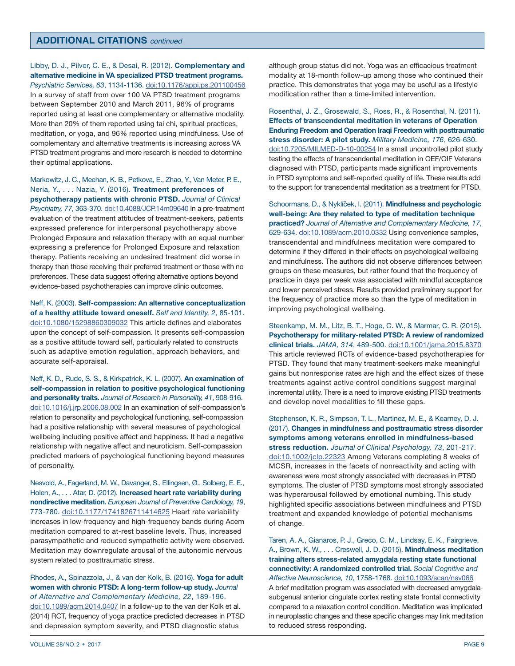Libby, D. J., Pilver, C. E., & Desai, R. (2012). **Complementary and alternative medicine in VA specialized PTSD treatment programs.**  *Psychiatric Services, 63*, 1134-1136. [doi:10.1176/appi.ps.201100456](http://dx.doi.org/10.1176/appi.ps.201100456)  In a survey of staff from over 100 VA PTSD treatment programs between September 2010 and March 2011, 96% of programs reported using at least one complementary or alternative modality. More than 20% of them reported using tai chi, spiritual practices, meditation, or yoga, and 96% reported using mindfulness. Use of complementary and alternative treatments is increasing across VA PTSD treatment programs and more research is needed to determine their optimal applications.

## Markowitz, J. C., Meehan, K. B., Petkova, E., Zhao, Y., Van Meter, P. E., Neria, Y., . . . Nazia, Y. (2016). **Treatment preferences of psychotherapy patients with chronic PTSD.** *Journal of Clinical Psychiatry, 77*, 363-370. [doi:10.4088/JCP.14m09640](https://doi.org/10.4088/JCP.14m09640) In a pre-treatment evaluation of the treatment attitudes of treatment-seekers, patients expressed preference for interpersonal psychotherapy above Prolonged Exposure and relaxation therapy with an equal number expressing a preference for Prolonged Exposure and relaxation

therapy. Patients receiving an undesired treatment did worse in therapy than those receiving their preferred treatment or those with no preferences. These data suggest offering alternative options beyond evidence-based psychotherapies can improve clinic outcomes.

Neff, K. (2003). **Self-compassion: An alternative conceptualization of a healthy attitude toward oneself.** *Self and Identity, 2*, 85-101. [doi:10.1080/15298860309032](http://dx.doi.org/10.1080/15298860309032) This article defines and elaborates upon the concept of self-compassion. It presents self-compassion as a positive attitude toward self, particularly related to constructs such as adaptive emotion regulation, approach behaviors, and accurate self-appraisal.

Neff, K. D., Rude, S. S., & Kirkpatrick, K. L. (2007). **An examination of self-compassion in relation to positive psychological functioning and personality traits.** *Journal of Research in Personality, 41*, 908-916. [doi:10.1016/j.jrp.2006.08.002](http://dx.doi.org/10.1016/j.jrp.2006.08.002) In an examination of self-compassion's relation to personality and psychological functioning, self-compassion had a positive relationship with several measures of psychological wellbeing including positive affect and happiness. It had a negative relationship with negative affect and neuroticism. Self-compassion predicted markers of psychological functioning beyond measures of personality.

Nesvold, A., Fagerland, M. W., Davanger, S., Ellingsen, Ø., Solberg, E. E., Holen, A., . . . Atar, D. (2012). **Increased heart rate variability during nondirective meditation.** *European Journal of Preventive Cardiology, 19*, 773-780. [doi:10.1177/1741826711414625](http://dx.doi.org/10.1177/1741826711414625) Heart rate variability increases in low-frequency and high-frequency bands during Acem meditation compared to at-rest baseline levels. Thus, increased parasympathetic and reduced sympathetic activity were observed. Meditation may downregulate arousal of the autonomic nervous system related to posttraumatic stress.

Rhodes, A., Spinazzola, J., & van der Kolk, B. (2016). **Yoga for adult women with chronic PTSD: A long-term follow-up study.** *Journal of Alternative and Complementary Medicine, 22*, 189-196. [doi:10.1089/acm.2014.0407](http://dx.doi.org/10.1089/acm.2014.0407) In a follow-up to the van der Kolk et al. (2014) RCT, frequency of yoga practice predicted decreases in PTSD and depression symptom severity, and PTSD diagnostic status

although group status did not. Yoga was an efficacious treatment modality at 18-month follow-up among those who continued their practice. This demonstrates that yoga may be useful as a lifestyle modification rather than a time-limited intervention.

Rosenthal, J. Z., Grosswald, S., Ross, R., & Rosenthal, N. (2011). **Effects of transcendental meditation in veterans of Operation Enduring Freedom and Operation Iraqi Freedom with posttraumatic stress disorder: A pilot study.** *Military Medicine, 176*, 626-630. [doi:10.7205/MILMED-D-10-00254](http://dx.doi.org/10.7205/MILMED-D-10-00254) In a small uncontrolled pilot study testing the effects of transcendental meditation in OEF/OIF Veterans diagnosed with PTSD, participants made significant improvements in PTSD symptoms and self-reported quality of life. These results add to the support for transcendental meditation as a treatment for PTSD.

Schoormans, D., & Nyklíček, I. (2011). **Mindfulness and psychologic well-being: Are they related to type of meditation technique practiced?** *Journal of Alternative and Complementary Medicine, 17*, 629-634. [doi:10.1089/acm.2010.0332](http://dx.doi.org/10.1089/acm.2010.0332) Using convenience samples, transcendental and mindfulness meditation were compared to determine if they differed in their effects on psychological wellbeing and mindfulness. The authors did not observe differences between groups on these measures, but rather found that the frequency of practice in days per week was associated with mindful acceptance and lower perceived stress. Results provided preliminary support for the frequency of practice more so than the type of meditation in improving psychological wellbeing.

Steenkamp, M. M., Litz, B. T., Hoge, C. W., & Marmar, C. R. (2015). **Psychotherapy for military-related PTSD: A review of randomized clinical trials.** *JAMA, 314*, 489-500. [doi:10.1001/jama.2015.8370](http://dx.doi.org/10.1001/jama.2015.8370)  This article reviewed RCTs of evidence-based psychotherapies for PTSD. They found that many treatment-seekers make meaningful gains but nonresponse rates are high and the effect sizes of these treatments against active control conditions suggest marginal incremental utility. There is a need to improve existing PTSD treatments and develop novel modalities to fill these gaps.

Stephenson, K. R., Simpson, T. L., Martinez, M. E., & Kearney, D. J. (2017). **Changes in mindfulness and posttraumatic stress disorder symptoms among veterans enrolled in mindfulness-based stress reduction.** *Journal of Clinical Psychology, 73*, 201-217. [doi:10.1002/jclp.22323](http://dx.doi.org/10.1002/jclp.22323) Among Veterans completing 8 weeks of MCSR, increases in the facets of nonreactivity and acting with awareness were most strongly associated with decreases in PTSD symptoms. The cluster of PTSD symptoms most strongly associated was hyperarousal followed by emotional numbing. This study highlighted specific associations between mindfulness and PTSD treatment and expanded knowledge of potential mechanisms of change.

Affective Neuroscience, 10, 1758-1768. doi:10.1093/scan/nsv066 Taren, A. A., Gianaros, P. J., Greco, C. M., Lindsay, E. K., Fairgrieve, A., Brown, K. W., . . . Creswell, J. D. (2015). **Mindfulness meditation training alters stress-related amygdala resting state functional connectivity: A randomized controlled trial.** *Social Cognitive and*  A brief meditation program was associated with decreased amygdalasubgenual anterior cingulate cortex resting state frontal connectivity compared to a relaxation control condition. Meditation was implicated in neuroplastic changes and these specific changes may link meditation to reduced stress responding.